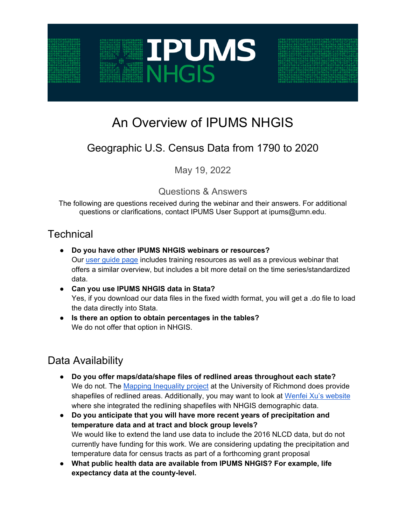

# An Overview of IPUMS NHGIS

## Geographic U.S. Census Data from 1790 to 2020

May 19, 2022

Questions & Answers

The following are questions received during the webinar and their answers. For additional questions or clarifications, contact IPUMS User Support at ipums@umn.edu.

### **Technical**

- **Do you have other IPUMS NHGIS webinars or resources?** Our user guide page includes training resources as well as a previous webinar that offers a similar overview, but includes a bit more detail on the time series/standardized data.
- **Can you use IPUMS NHGIS data in Stata?** Yes, if you download our data files in the fixed width format, you will get a .do file to load the data directly into Stata.
- **Is there an option to obtain percentages in the tables?** We do not offer that option in NHGIS.

### Data Availability

- **Do you offer maps/data/shape files of redlined areas throughout each state?**  We do not. The Mapping Inequality project at the University of Richmond does provide shapefiles of redlined areas. Additionally, you may want to look at Wenfei Xu's website where she integrated the redlining shapefiles with NHGIS demographic data.
- **Do you anticipate that you will have more recent years of precipitation and temperature data and at tract and block group levels?** We would like to extend the land use data to include the 2016 NLCD data, but do not currently have funding for this work. We are considering updating the precipitation and temperature data for census tracts as part of a forthcoming grant proposal
- **What public health data are available from IPUMS NHGIS? For example, life expectancy data at the county-level.**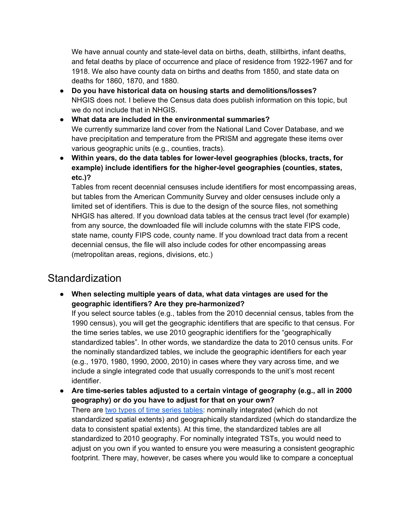We have annual county and state-level data on births, death, stillbirths, infant deaths, and fetal deaths by place of occurrence and place of residence from 1922-1967 and for 1918. We also have county data on births and deaths from 1850, and state data on deaths for 1860, 1870, and 1880.

- **Do you have historical data on housing starts and demolitions/losses?** NHGIS does not. I believe the Census data does publish information on this topic, but we do not include that in NHGIS.
- **What data are included in the environmental summaries?** We currently summarize land cover from the National Land Cover Database, and we have precipitation and temperature from the PRISM and aggregate these items over various geographic units (e.g., counties, tracts).
- **Within years, do the data tables for lower-level geographies (blocks, tracts, for example) include identifiers for the higher-level geographies (counties, states, etc.)?**

Tables from recent decennial censuses include identifiers for most encompassing areas, but tables from the American Community Survey and older censuses include only a limited set of identifiers. This is due to the design of the source files, not something NHGIS has altered. If you download data tables at the census tract level (for example) from any source, the downloaded file will include columns with the state FIPS code, state name, county FIPS code, county name. If you download tract data from a recent decennial census, the file will also include codes for other encompassing areas (metropolitan areas, regions, divisions, etc.)

#### **Standardization**

● **When selecting multiple years of data, what data vintages are used for the geographic identifiers? Are they pre-harmonized?**

If you select source tables (e.g., tables from the 2010 decennial census, tables from the 1990 census), you will get the geographic identifiers that are specific to that census. For the time series tables, we use 2010 geographic identifiers for the "geographically standardized tables". In other words, we standardize the data to 2010 census units. For the nominally standardized tables, we include the geographic identifiers for each year (e.g., 1970, 1980, 1990, 2000, 2010) in cases where they vary across time, and we include a single integrated code that usually corresponds to the unit's most recent identifier.

● **Are time-series tables adjusted to a certain vintage of geography (e.g., all in 2000 geography) or do you have to adjust for that on your own?** There are [two types of time series tables:](https://www.nhgis.org/time-series-tables#geographic-integration) nominally integrated (which do not standardized spatial extents) and geographically standardized (which do standardize the data to consistent spatial extents). At this time, the standardized tables are all standardized to 2010 geography. For nominally integrated TSTs, you would need to adjust on you own if you wanted to ensure you were measuring a consistent geographic footprint. There may, however, be cases where you would like to compare a conceptual